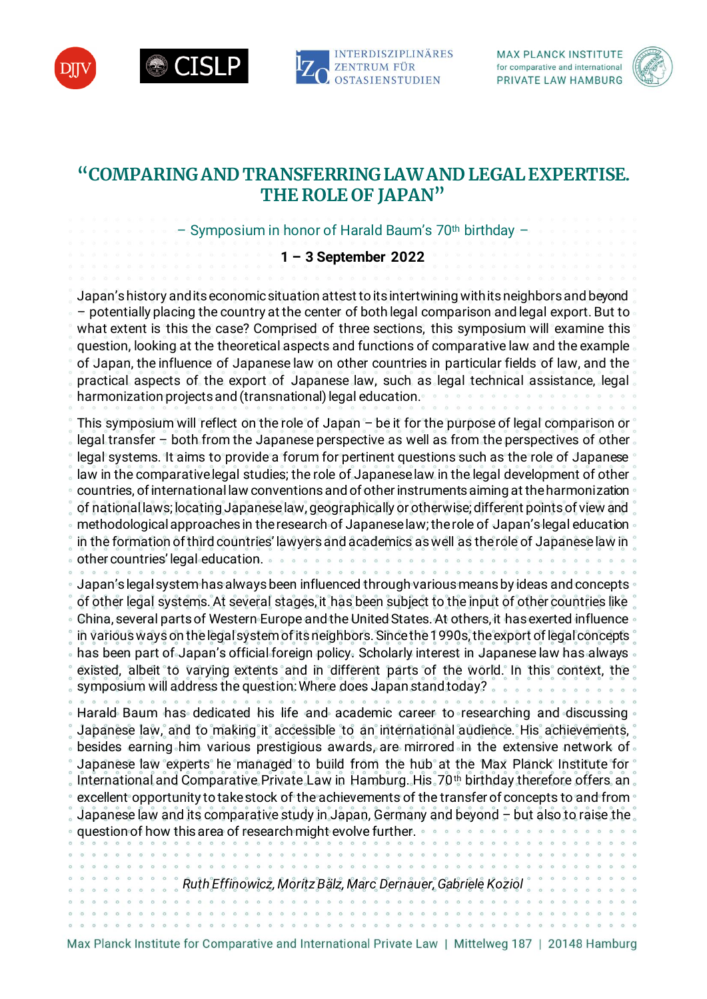







# **"COMPARING AND TRANSFERRING LAW AND LEGAL EXPERTISE. THE ROLE OF JAPAN"**

– Symposium in honor of Harald Baum's 70th birthday –

### **1 – 3 September 2022**

Japan's history and its economic situation attest to its intertwining with its neighbors and beyond – potentially placing the country at the center of both legal comparison and legal export. But to what extent is this the case? Comprised of three sections, this symposium will examine this question, looking at the theoretical aspects and functions of comparative law and the example of Japan, the influence of Japanese law on other countries in particular fields of law, and the practical aspects of the export of Japanese law, such as legal technical assistance, legal harmonization projects and (transnational) legal education.

This symposium will reflect on the role of Japan – be it for the purpose of legal comparison or legal transfer  $\neg$  both from the Japanese perspective as well as from the perspectives of other legal systems. It aims to provide a forum for pertinent questions such as the role of Japanese law in the comparative legal studies; the role of Japanese law in the legal development of other countries, of international law conventions and of other instruments aiming at the harmonization of national laws; locating Japanese law, geographically or otherwise; different points of view and methodological approaches in the research of Japanese law; the role of Japan's legal education in the formation of third countries' lawyers and academics as well as the role of Japanese law in other countries' legal education. Japan's legal system has always been influenced through various means by ideas and concepts of other legal systems. At several stages, it has been subject to the input of other countries like China, several parts of Western Europe and the United States. At others, it has exerted influence in various ways on the legal system of its neighbors. Since the 1990s, the export of legal concepts has been part of Japan's official foreign policy. Scholarly interest in Japanese law has always existed, albeit to varying extents and in different parts of the world. In this context, the symposium will address the question: Where does Japan stand today? . . . . . . . Harald Baum has dedicated his life and academic career to researching and discussing

Japanese law, and to making it accessible to an international audience. His achievements, besides earning him various prestigious awards, are mirrored in the extensive network of Japanese law experts he managed to build from the hub at the Max Planck Institute for International and Comparative Private Law in Hamburg. His 70<sup>th</sup> birthday therefore offers an excellent opportunity to take stock of the achievements of the transfer of concepts to and from Japanese law and its comparative study in Japan, Germany and beyond – but also to raise the question of how this area of research might evolve further.

*Ruth Effinowicz, Moritz Bälz, Marc Dernauer, Gabriele Koziol*

Max Planck Institute for Comparative and International Private Law | Mittelweg 187 | 20148 Hamburg